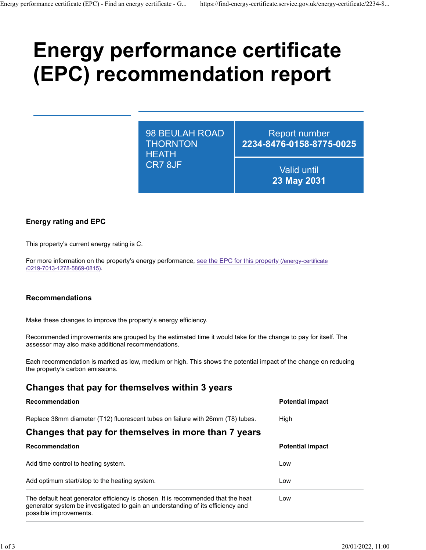# **Energy performance certificate (EPC) recommendation report**

98 BEULAH ROAD **THORNTON HEATH** CR7 8JF

Report number **2234-8476-0158-8775-0025**

> Valid until **23 May 2031**

### **Energy rating and EPC**

This property's current energy rating is C.

For more information on the property's energy performance, [see the EPC for this property \(/energy-certificate](https://find-energy-certificate.service.gov.uk/energy-certificate/0219-7013-1278-5869-0815) [/0219-7013-1278-5869-0815\).](https://find-energy-certificate.service.gov.uk/energy-certificate/0219-7013-1278-5869-0815)

#### **Recommendations**

Make these changes to improve the property's energy efficiency.

Recommended improvements are grouped by the estimated time it would take for the change to pay for itself. The assessor may also make additional recommendations.

Each recommendation is marked as low, medium or high. This shows the potential impact of the change on reducing the property's carbon emissions.

## **Changes that pay for themselves within 3 years**

| <b>Recommendation</b>                                                                                                                                               | <b>Potential impact</b> |
|---------------------------------------------------------------------------------------------------------------------------------------------------------------------|-------------------------|
| Replace 38mm diameter (T12) fluorescent tubes on failure with 26mm (T8) tubes.                                                                                      | High                    |
| Changes that pay for themselves in more than 7 years                                                                                                                |                         |
| Recommendation                                                                                                                                                      | <b>Potential impact</b> |
| Add time control to heating system.                                                                                                                                 | Low                     |
| Add optimum start/stop to the heating system.                                                                                                                       | Low                     |
| The default heat generator efficiency is chosen. It is recommended that the heat<br>generator system be investigated to gain an understanding of its efficiency and | l ow                    |